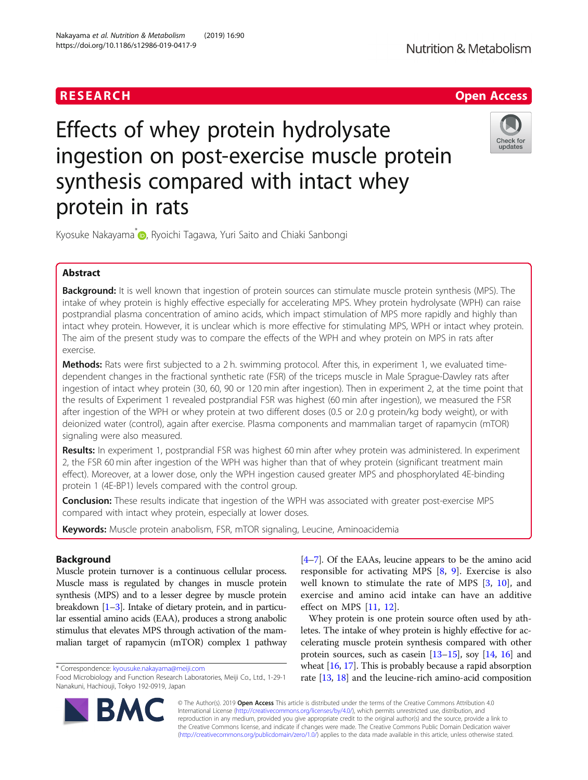# Effects of whey protein hydrolysate ingestion on post-exercise muscle protein synthesis compared with intact whey protein in rats

Kyosuke Nakayama<sup>[\\*](http://orcid.org/0000-0002-4769-8958)</sup> , Ryoichi Tagawa, Yuri Saito and Chiaki Sanbongi

# Abstract

Background: It is well known that ingestion of protein sources can stimulate muscle protein synthesis (MPS). The intake of whey protein is highly effective especially for accelerating MPS. Whey protein hydrolysate (WPH) can raise postprandial plasma concentration of amino acids, which impact stimulation of MPS more rapidly and highly than intact whey protein. However, it is unclear which is more effective for stimulating MPS, WPH or intact whey protein. The aim of the present study was to compare the effects of the WPH and whey protein on MPS in rats after exercise.

Methods: Rats were first subjected to a 2 h. swimming protocol. After this, in experiment 1, we evaluated timedependent changes in the fractional synthetic rate (FSR) of the triceps muscle in Male Sprague-Dawley rats after ingestion of intact whey protein (30, 60, 90 or 120 min after ingestion). Then in experiment 2, at the time point that the results of Experiment 1 revealed postprandial FSR was highest (60 min after ingestion), we measured the FSR after ingestion of the WPH or whey protein at two different doses (0.5 or 2.0 g protein/kg body weight), or with deionized water (control), again after exercise. Plasma components and mammalian target of rapamycin (mTOR) signaling were also measured.

Results: In experiment 1, postprandial FSR was highest 60 min after whey protein was administered. In experiment 2, the FSR 60 min after ingestion of the WPH was higher than that of whey protein (significant treatment main effect). Moreover, at a lower dose, only the WPH ingestion caused greater MPS and phosphorylated 4E-binding protein 1 (4E-BP1) levels compared with the control group.

**Conclusion:** These results indicate that ingestion of the WPH was associated with greater post-exercise MPS compared with intact whey protein, especially at lower doses.

Keywords: Muscle protein anabolism, FSR, mTOR signaling, Leucine, Aminoacidemia

# Background

Muscle protein turnover is a continuous cellular process. Muscle mass is regulated by changes in muscle protein synthesis (MPS) and to a lesser degree by muscle protein breakdown [\[1](#page-5-0)–[3](#page-6-0)]. Intake of dietary protein, and in particular essential amino acids (EAA), produces a strong anabolic stimulus that elevates MPS through activation of the mammalian target of rapamycin (mTOR) complex 1 pathway

\* Correspondence: [kyousuke.nakayama@meiji.com](mailto:kyousuke.nakayama@meiji.com)

R

[[4](#page-6-0)–[7\]](#page-6-0). Of the EAAs, leucine appears to be the amino acid responsible for activating MPS [\[8](#page-6-0), [9](#page-6-0)]. Exercise is also well known to stimulate the rate of MPS [[3,](#page-6-0) [10](#page-6-0)], and exercise and amino acid intake can have an additive effect on MPS [[11,](#page-6-0) [12](#page-6-0)].

Whey protein is one protein source often used by athletes. The intake of whey protein is highly effective for accelerating muscle protein synthesis compared with other protein sources, such as casein [\[13](#page-6-0)–[15](#page-6-0)], soy [[14,](#page-6-0) [16\]](#page-6-0) and wheat [\[16,](#page-6-0) [17\]](#page-6-0). This is probably because a rapid absorption rate [\[13,](#page-6-0) [18\]](#page-6-0) and the leucine-rich amino-acid composition

© The Author(s). 2019 Open Access This article is distributed under the terms of the Creative Commons Attribution 4.0 International License [\(http://creativecommons.org/licenses/by/4.0/](http://creativecommons.org/licenses/by/4.0/)), which permits unrestricted use, distribution, and reproduction in any medium, provided you give appropriate credit to the original author(s) and the source, provide a link to the Creative Commons license, and indicate if changes were made. The Creative Commons Public Domain Dedication waiver [\(http://creativecommons.org/publicdomain/zero/1.0/](http://creativecommons.org/publicdomain/zero/1.0/)) applies to the data made available in this article, unless otherwise stated.









Food Microbiology and Function Research Laboratories, Meiji Co., Ltd., 1-29-1 Nanakuni, Hachiouji, Tokyo 192-0919, Japan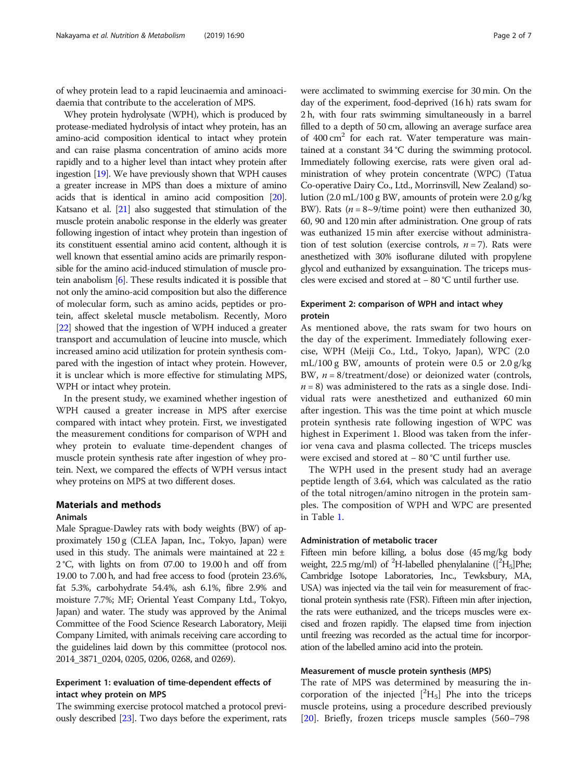of whey protein lead to a rapid leucinaemia and aminoacidaemia that contribute to the acceleration of MPS.

Whey protein hydrolysate (WPH), which is produced by protease-mediated hydrolysis of intact whey protein, has an amino-acid composition identical to intact whey protein and can raise plasma concentration of amino acids more rapidly and to a higher level than intact whey protein after ingestion [[19](#page-6-0)]. We have previously shown that WPH causes a greater increase in MPS than does a mixture of amino acids that is identical in amino acid composition [\[20](#page-6-0)]. Katsano et al. [\[21](#page-6-0)] also suggested that stimulation of the muscle protein anabolic response in the elderly was greater following ingestion of intact whey protein than ingestion of its constituent essential amino acid content, although it is well known that essential amino acids are primarily responsible for the amino acid-induced stimulation of muscle protein anabolism [[6](#page-6-0)]. These results indicated it is possible that not only the amino-acid composition but also the difference of molecular form, such as amino acids, peptides or protein, affect skeletal muscle metabolism. Recently, Moro [[22](#page-6-0)] showed that the ingestion of WPH induced a greater transport and accumulation of leucine into muscle, which increased amino acid utilization for protein synthesis compared with the ingestion of intact whey protein. However, it is unclear which is more effective for stimulating MPS, WPH or intact whey protein.

In the present study, we examined whether ingestion of WPH caused a greater increase in MPS after exercise compared with intact whey protein. First, we investigated the measurement conditions for comparison of WPH and whey protein to evaluate time-dependent changes of muscle protein synthesis rate after ingestion of whey protein. Next, we compared the effects of WPH versus intact whey proteins on MPS at two different doses.

# Materials and methods

#### Animals

Male Sprague-Dawley rats with body weights (BW) of approximately 150 g (CLEA Japan, Inc., Tokyo, Japan) were used in this study. The animals were maintained at  $22 \pm$ 2 °C, with lights on from 07.00 to 19.00 h and off from 19.00 to 7.00 h, and had free access to food (protein 23.6%, fat 5.3%, carbohydrate 54.4%, ash 6.1%, fibre 2.9% and moisture 7.7%; MF; Oriental Yeast Company Ltd., Tokyo, Japan) and water. The study was approved by the Animal Committee of the Food Science Research Laboratory, Meiji Company Limited, with animals receiving care according to the guidelines laid down by this committee (protocol nos. 2014\_3871\_0204, 0205, 0206, 0268, and 0269).

# Experiment 1: evaluation of time-dependent effects of intact whey protein on MPS

The swimming exercise protocol matched a protocol previously described [[23](#page-6-0)]. Two days before the experiment, rats were acclimated to swimming exercise for 30 min. On the day of the experiment, food-deprived (16 h) rats swam for 2 h, with four rats swimming simultaneously in a barrel filled to a depth of 50 cm, allowing an average surface area of 400 cm<sup>2</sup> for each rat. Water temperature was maintained at a constant 34 °C during the swimming protocol. Immediately following exercise, rats were given oral administration of whey protein concentrate (WPC) (Tatua Co-operative Dairy Co., Ltd., Morrinsvill, New Zealand) solution (2.0 mL/100 g BW, amounts of protein were 2.0 g/kg BW). Rats ( $n = 8\sim 9$ /time point) were then euthanized 30, 60, 90 and 120 min after administration. One group of rats was euthanized 15 min after exercise without administration of test solution (exercise controls,  $n = 7$ ). Rats were anesthetized with 30% isoflurane diluted with propylene glycol and euthanized by exsanguination. The triceps muscles were excised and stored at − 80 °C until further use.

# Experiment 2: comparison of WPH and intact whey protein

As mentioned above, the rats swam for two hours on the day of the experiment. Immediately following exercise, WPH (Meiji Co., Ltd., Tokyo, Japan), WPC (2.0 mL/100 g BW, amounts of protein were 0.5 or  $2.0 \text{ g/kg}$ BW,  $n = 8$ /treatment/dose) or deionized water (controls,  $n = 8$ ) was administered to the rats as a single dose. Individual rats were anesthetized and euthanized 60 min after ingestion. This was the time point at which muscle protein synthesis rate following ingestion of WPC was highest in Experiment 1. Blood was taken from the inferior vena cava and plasma collected. The triceps muscles were excised and stored at − 80 °C until further use.

The WPH used in the present study had an average peptide length of 3.64, which was calculated as the ratio of the total nitrogen/amino nitrogen in the protein samples. The composition of WPH and WPC are presented in Table [1.](#page-2-0)

# Administration of metabolic tracer

Fifteen min before killing, a bolus dose (45 mg/kg body weight, 22.5 mg/ml) of <sup>2</sup>H-labelled phenylalanine ( $[^{2}H_{5}]$ Phe; Cambridge Isotope Laboratories, Inc., Tewksbury, MA, USA) was injected via the tail vein for measurement of fractional protein synthesis rate (FSR). Fifteen min after injection, the rats were euthanized, and the triceps muscles were excised and frozen rapidly. The elapsed time from injection until freezing was recorded as the actual time for incorporation of the labelled amino acid into the protein.

# Measurement of muscle protein synthesis (MPS)

The rate of MPS was determined by measuring the incorporation of the injected  $[^{2}H_{5}]$  Phe into the triceps muscle proteins, using a procedure described previously [[20\]](#page-6-0). Briefly, frozen triceps muscle samples (560–798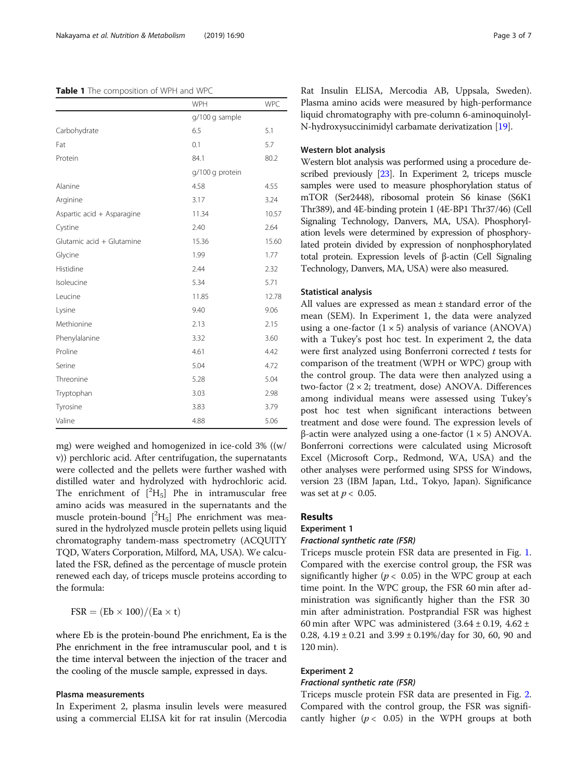#### <span id="page-2-0"></span>Table 1 The composition of WPH and WPC

|                            | <b>WPH</b>      | <b>WPC</b> |  |
|----------------------------|-----------------|------------|--|
|                            | g/100 g sample  |            |  |
| Carbohydrate               | 6.5             | 5.1        |  |
| Fat                        | 0.1             | 5.7        |  |
| Protein                    | 84.1            | 80.2       |  |
|                            | g/100 g protein |            |  |
| Alanine                    | 4.58            | 4.55       |  |
| Arginine                   | 3.17            | 3.24       |  |
| Aspartic acid + Asparagine | 11.34           | 10.57      |  |
| Cystine                    | 2.40            | 2.64       |  |
| Glutamic acid + Glutamine  | 15.36           | 15.60      |  |
| Glycine                    | 1.99            | 1.77       |  |
| Histidine                  | 2.44            | 2.32       |  |
| Isoleucine                 | 5.34            | 5.71       |  |
| Leucine                    | 11.85           | 12.78      |  |
| Lysine                     | 9.40            | 9.06       |  |
| Methionine                 | 2.13            | 2.15       |  |
| Phenylalanine              | 3.32            | 3.60       |  |
| Proline                    | 4.61            | 4.42       |  |
| Serine                     | 5.04            | 4.72       |  |
| Threonine                  | 5.28            | 5.04       |  |
| Tryptophan                 | 3.03            | 2.98       |  |
| Tyrosine                   | 3.83            | 3.79       |  |
| Valine                     | 4.88            | 5.06       |  |

mg) were weighed and homogenized in ice-cold 3% ((w/ v)) perchloric acid. After centrifugation, the supernatants were collected and the pellets were further washed with distilled water and hydrolyzed with hydrochloric acid. The enrichment of  $[{}^{2}H_{5}]$  Phe in intramuscular free amino acids was measured in the supernatants and the muscle protein-bound  $[^2H_5]$  Phe enrichment was measured in the hydrolyzed muscle protein pellets using liquid chromatography tandem-mass spectrometry (ACQUITY TQD, Waters Corporation, Milford, MA, USA). We calculated the FSR, defined as the percentage of muscle protein renewed each day, of triceps muscle proteins according to the formula:

$$
FSR = (Eb \times 100) / (Ea \times t)
$$

where Eb is the protein-bound Phe enrichment, Ea is the Phe enrichment in the free intramuscular pool, and t is the time interval between the injection of the tracer and the cooling of the muscle sample, expressed in days.

# Plasma measurements

In Experiment 2, plasma insulin levels were measured using a commercial ELISA kit for rat insulin (Mercodia Rat Insulin ELISA, Mercodia AB, Uppsala, Sweden). Plasma amino acids were measured by high-performance liquid chromatography with pre-column 6-aminoquinolyl-N-hydroxysuccinimidyl carbamate derivatization [[19](#page-6-0)].

# Western blot analysis

Western blot analysis was performed using a procedure described previously [\[23\]](#page-6-0). In Experiment 2, triceps muscle samples were used to measure phosphorylation status of mTOR (Ser2448), ribosomal protein S6 kinase (S6K1 Thr389), and 4E-binding protein 1 (4E-BP1 Thr37/46) (Cell Signaling Technology, Danvers, MA, USA). Phosphorylation levels were determined by expression of phosphorylated protein divided by expression of nonphosphorylated total protein. Expression levels of β-actin (Cell Signaling Technology, Danvers, MA, USA) were also measured.

#### Statistical analysis

All values are expressed as mean ± standard error of the mean (SEM). In Experiment 1, the data were analyzed using a one-factor  $(1 \times 5)$  analysis of variance (ANOVA) with a Tukey's post hoc test. In experiment 2, the data were first analyzed using Bonferroni corrected t tests for comparison of the treatment (WPH or WPC) group with the control group. The data were then analyzed using a two-factor  $(2 \times 2)$ ; treatment, dose) ANOVA. Differences among individual means were assessed using Tukey's post hoc test when significant interactions between treatment and dose were found. The expression levels of β-actin were analyzed using a one-factor  $(1 \times 5)$  ANOVA. Bonferroni corrections were calculated using Microsoft Excel (Microsoft Corp., Redmond, WA, USA) and the other analyses were performed using SPSS for Windows, version 23 (IBM Japan, Ltd., Tokyo, Japan). Significance was set at  $p < 0.05$ .

# Results

Experiment 1

# Fractional synthetic rate (FSR)

Triceps muscle protein FSR data are presented in Fig. [1](#page-3-0). Compared with the exercise control group, the FSR was significantly higher ( $p < 0.05$ ) in the WPC group at each time point. In the WPC group, the FSR 60 min after administration was significantly higher than the FSR 30 min after administration. Postprandial FSR was highest 60 min after WPC was administered  $(3.64 \pm 0.19, 4.62 \pm 1)$ 0.28,  $4.19 \pm 0.21$  and  $3.99 \pm 0.19\frac{\cancel{0}}{\cancel{0}}$  and  $3.99 \pm 0.19\frac{\cancel{0}}{\cancel{0}}$  and 120 min).

# Experiment 2

#### Fractional synthetic rate (FSR)

Triceps muscle protein FSR data are presented in Fig. [2](#page-3-0). Compared with the control group, the FSR was significantly higher ( $p < 0.05$ ) in the WPH groups at both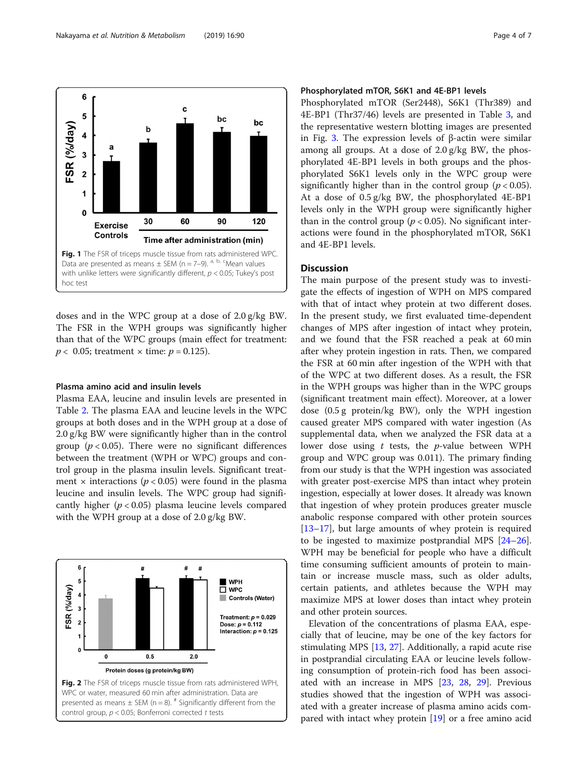doses and in the WPC group at a dose of 2.0 g/kg BW. The FSR in the WPH groups was significantly higher than that of the WPC groups (main effect for treatment:  $p < 0.05$ ; treatment  $\times$  time:  $p = 0.125$ ).

## Plasma amino acid and insulin levels

Plasma EAA, leucine and insulin levels are presented in Table [2.](#page-4-0) The plasma EAA and leucine levels in the WPC groups at both doses and in the WPH group at a dose of 2.0 g/kg BW were significantly higher than in the control group ( $p < 0.05$ ). There were no significant differences between the treatment (WPH or WPC) groups and control group in the plasma insulin levels. Significant treatment  $\times$  interactions ( $p < 0.05$ ) were found in the plasma leucine and insulin levels. The WPC group had significantly higher  $(p < 0.05)$  plasma leucine levels compared with the WPH group at a dose of 2.0 g/kg BW.

#### 5 **WPH** FSR (%day)  $\square$  WPC  $\overline{\mathbf{4}}$ Controls (Water)  $\overline{\mathbf{3}}$ Treatment:  $p = 0.029$  $\overline{\mathbf{c}}$ Dose:  $p = 0.112$ Interaction:  $p = 0.125$  $\mathbf 0$  $0.5$  $2.0$ Protein doses (g protein/kg BW) Fig. 2 The FSR of triceps muscle tissue from rats administered WPH, WPC or water, measured 60 min after administration. Data are presented as means  $\pm$  SEM (n = 8).  $^{\#}$  Significantly different from the control group,  $p < 0.05$ ; Bonferroni corrected t tests

 $#$  $\boldsymbol{\mu}$ 

 $\boldsymbol{\mu}$ 

### Phosphorylated mTOR, S6K1 and 4E-BP1 levels

Phosphorylated mTOR (Ser2448), S6K1 (Thr389) and 4E-BP1 (Thr37/46) levels are presented in Table [3](#page-4-0), and the representative western blotting images are presented in Fig. [3.](#page-5-0) The expression levels of β-actin were similar among all groups. At a dose of 2.0 g/kg BW, the phosphorylated 4E-BP1 levels in both groups and the phosphorylated S6K1 levels only in the WPC group were significantly higher than in the control group ( $p < 0.05$ ). At a dose of 0.5 g/kg BW, the phosphorylated 4E-BP1 levels only in the WPH group were significantly higher than in the control group ( $p < 0.05$ ). No significant interactions were found in the phosphorylated mTOR, S6K1 and 4E-BP1 levels.

# **Discussion**

The main purpose of the present study was to investigate the effects of ingestion of WPH on MPS compared with that of intact whey protein at two different doses. In the present study, we first evaluated time-dependent changes of MPS after ingestion of intact whey protein, and we found that the FSR reached a peak at 60 min after whey protein ingestion in rats. Then, we compared the FSR at 60 min after ingestion of the WPH with that of the WPC at two different doses. As a result, the FSR in the WPH groups was higher than in the WPC groups (significant treatment main effect). Moreover, at a lower dose (0.5 g protein/kg BW), only the WPH ingestion caused greater MPS compared with water ingestion (As supplemental data, when we analyzed the FSR data at a lower dose using  $t$  tests, the  $p$ -value between WPH group and WPC group was 0.011). The primary finding from our study is that the WPH ingestion was associated with greater post-exercise MPS than intact whey protein ingestion, especially at lower doses. It already was known that ingestion of whey protein produces greater muscle anabolic response compared with other protein sources [[13](#page-6-0)–[17](#page-6-0)], but large amounts of whey protein is required to be ingested to maximize postprandial MPS [[24](#page-6-0)–[26](#page-6-0)]. WPH may be beneficial for people who have a difficult time consuming sufficient amounts of protein to maintain or increase muscle mass, such as older adults, certain patients, and athletes because the WPH may maximize MPS at lower doses than intact whey protein and other protein sources.

Elevation of the concentrations of plasma EAA, especially that of leucine, may be one of the key factors for stimulating MPS [\[13](#page-6-0), [27](#page-6-0)]. Additionally, a rapid acute rise in postprandial circulating EAA or leucine levels following consumption of protein-rich food has been associated with an increase in MPS [[23](#page-6-0), [28](#page-6-0), [29\]](#page-6-0). Previous studies showed that the ingestion of WPH was associated with a greater increase of plasma amino acids compared with intact whey protein [[19](#page-6-0)] or a free amino acid

<span id="page-3-0"></span>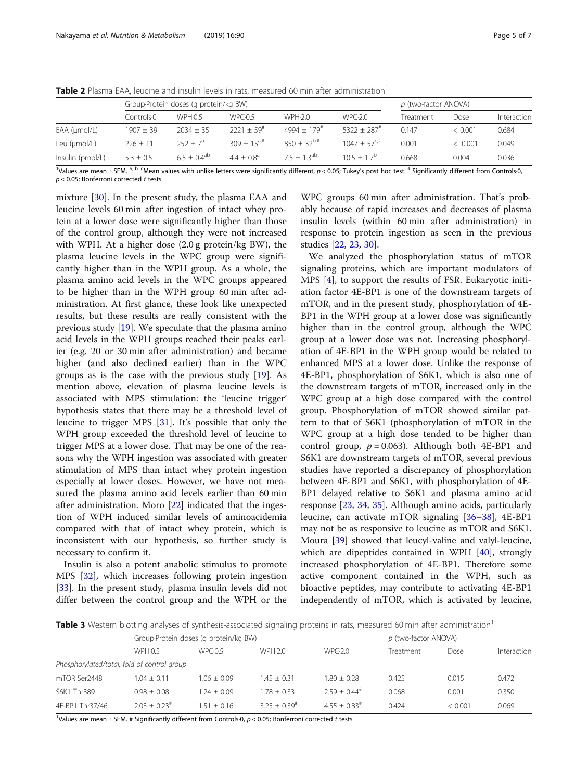|                  | Group-Protein doses (q protein/kg BW) |                  |                            |                           | p (two-factor ANOVA) |           |         |             |
|------------------|---------------------------------------|------------------|----------------------------|---------------------------|----------------------|-----------|---------|-------------|
|                  | Controls 0                            | WPH-0.5          | WPC:0.5                    | WPH.2.0                   | $WPC-2.0$            | Treatment | Dose    | Interaction |
| EAA (µmol/L)     | $1907 \pm 39$                         | $2034 \pm 35$    | $2221 \pm 59$ <sup>#</sup> | $4994 + 179$ <sup>#</sup> | $5322 + 287$         | 0.147     | < 0.001 | 0.684       |
| Leu (µmol/L)     | $226 + 11$                            | $252 + 7^a$      | $309 + 15^{a,\#}$          | $850 + 32^{b,*}$          | $1047 + 57^{c,*}$    | 0.001     | < 0.001 | 0.049       |
| Insulin (pmol/L) | $5.3 + 0.5$                           | $6.5 + 0.4^{ab}$ | $44 + 08^a$                | $75 + 13^{ab}$            | $105 + 17^{\circ}$   | 0.668     | 0.004   | 0.036       |

<span id="page-4-0"></span>Table 2 Plasma EAA, leucine and insulin levels in rats, measured 60 min after administration<sup>1</sup>

<sup>1</sup>Values are mean ± SEM. <sup>a, b, c</sup>Mean values with unlike letters were significantly different,  $p < 0.05$ ; Tukey's post hoc test.  $\hbox{\tt\char'_{\textbf{5}}}$  Significantly different from Controls·0,  $p < 0.05$ ; Bonferroni corrected t tests

mixture [[30](#page-6-0)]. In the present study, the plasma EAA and leucine levels 60 min after ingestion of intact whey protein at a lower dose were significantly higher than those of the control group, although they were not increased with WPH. At a higher dose (2.0 g protein/kg BW), the plasma leucine levels in the WPC group were significantly higher than in the WPH group. As a whole, the plasma amino acid levels in the WPC groups appeared to be higher than in the WPH group 60 min after administration. At first glance, these look like unexpected results, but these results are really consistent with the previous study [\[19](#page-6-0)]. We speculate that the plasma amino acid levels in the WPH groups reached their peaks earlier (e.g. 20 or 30 min after administration) and became higher (and also declined earlier) than in the WPC groups as is the case with the previous study [\[19\]](#page-6-0). As mention above, elevation of plasma leucine levels is associated with MPS stimulation: the 'leucine trigger' hypothesis states that there may be a threshold level of leucine to trigger MPS [[31\]](#page-6-0). It's possible that only the WPH group exceeded the threshold level of leucine to trigger MPS at a lower dose. That may be one of the reasons why the WPH ingestion was associated with greater stimulation of MPS than intact whey protein ingestion especially at lower doses. However, we have not measured the plasma amino acid levels earlier than 60 min after administration. Moro [\[22](#page-6-0)] indicated that the ingestion of WPH induced similar levels of aminoacidemia compared with that of intact whey protein, which is inconsistent with our hypothesis, so further study is necessary to confirm it.

Insulin is also a potent anabolic stimulus to promote MPS [[32](#page-6-0)], which increases following protein ingestion [[33\]](#page-6-0). In the present study, plasma insulin levels did not differ between the control group and the WPH or the

WPC groups 60 min after administration. That's probably because of rapid increases and decreases of plasma insulin levels (within 60 min after administration) in response to protein ingestion as seen in the previous studies [\[22,](#page-6-0) [23,](#page-6-0) [30\]](#page-6-0).

We analyzed the phosphorylation status of mTOR signaling proteins, which are important modulators of MPS [\[4\]](#page-6-0), to support the results of FSR. Eukaryotic initiation factor 4E-BP1 is one of the downstream targets of mTOR, and in the present study, phosphorylation of 4E-BP1 in the WPH group at a lower dose was significantly higher than in the control group, although the WPC group at a lower dose was not. Increasing phosphorylation of 4E-BP1 in the WPH group would be related to enhanced MPS at a lower dose. Unlike the response of 4E-BP1, phosphorylation of S6K1, which is also one of the downstream targets of mTOR, increased only in the WPC group at a high dose compared with the control group. Phosphorylation of mTOR showed similar pattern to that of S6K1 (phosphorylation of mTOR in the WPC group at a high dose tended to be higher than control group,  $p = 0.063$ ). Although both 4E-BP1 and S6K1 are downstream targets of mTOR, several previous studies have reported a discrepancy of phosphorylation between 4E-BP1 and S6K1, with phosphorylation of 4E-BP1 delayed relative to S6K1 and plasma amino acid response [[23,](#page-6-0) [34](#page-6-0), [35](#page-6-0)]. Although amino acids, particularly leucine, can activate mTOR signaling [[36](#page-6-0)–[38](#page-6-0)], 4E-BP1 may not be as responsive to leucine as mTOR and S6K1. Moura [[39](#page-6-0)] showed that leucyl-valine and valyl-leucine, which are dipeptides contained in WPH [[40\]](#page-6-0), strongly increased phosphorylation of 4E-BP1. Therefore some active component contained in the WPH, such as bioactive peptides, may contribute to activating 4E-BP1 independently of mTOR, which is activated by leucine,

Table 3 Western blotting analyses of synthesis-associated signaling proteins in rats, measured 60 min after administration<sup>1</sup>

|                                             | Group-Protein doses (g protein/kg BW) |               |                          |                            | p (two-factor ANOVA) |         |             |
|---------------------------------------------|---------------------------------------|---------------|--------------------------|----------------------------|----------------------|---------|-------------|
|                                             | WPH.0.5                               | WPC:0.5       | WPH.2.0                  | WPC.2.0                    | Treatment            | Dose    | Interaction |
| Phosphorylated/total, fold of control group |                                       |               |                          |                            |                      |         |             |
| mTOR Ser2448                                | $04 + 011$                            | $106 + 009$   | $145 + 031$              | $1.80 + 0.28$              | 0.425                | 0.015   | 0.472       |
| S6K1 Thr389                                 | $0.98 + 0.08$                         | $1.24 + 0.09$ | $1.78 + 0.33$            | $2.59 + 0.44$ <sup>#</sup> | 0.068                | 0.001   | 0.350       |
| 4E-BP1 Thr37/46                             | $2.03 + 0.23$ <sup>#</sup>            | $151 + 016$   | $3.25 + 0.39^{\text{*}}$ | $4.55 + 0.83^{\#}$         | 0.424                | < 0.001 | 0.069       |

<sup>1</sup>Values are mean  $\pm$  SEM. # Significantly different from Controls 0,  $p$  < 0.05; Bonferroni corrected t tests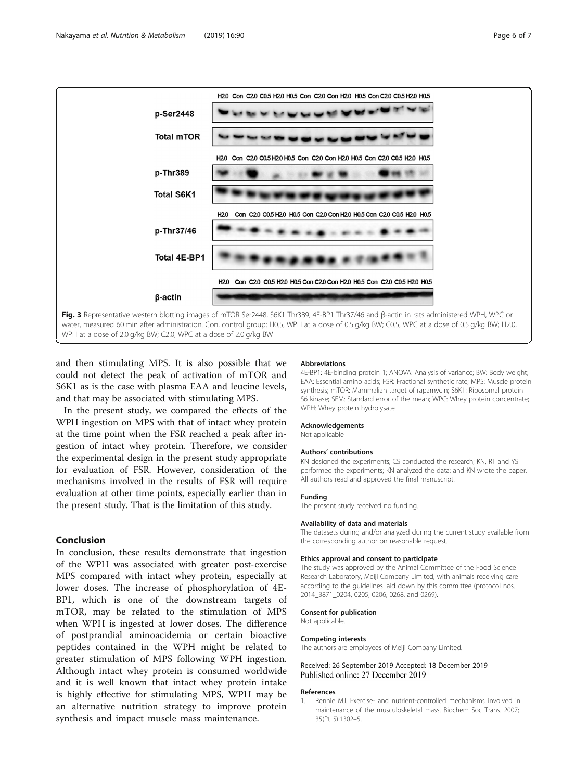<span id="page-5-0"></span>

WPH at a dose of 2.0 g/kg BW; C2.0, WPC at a dose of 2.0 g/kg BW

and then stimulating MPS. It is also possible that we could not detect the peak of activation of mTOR and S6K1 as is the case with plasma EAA and leucine levels, and that may be associated with stimulating MPS.

In the present study, we compared the effects of the WPH ingestion on MPS with that of intact whey protein at the time point when the FSR reached a peak after ingestion of intact whey protein. Therefore, we consider the experimental design in the present study appropriate for evaluation of FSR. However, consideration of the mechanisms involved in the results of FSR will require evaluation at other time points, especially earlier than in the present study. That is the limitation of this study.

# Conclusion

In conclusion, these results demonstrate that ingestion of the WPH was associated with greater post-exercise MPS compared with intact whey protein, especially at lower doses. The increase of phosphorylation of 4E-BP1, which is one of the downstream targets of mTOR, may be related to the stimulation of MPS when WPH is ingested at lower doses. The difference of postprandial aminoacidemia or certain bioactive peptides contained in the WPH might be related to greater stimulation of MPS following WPH ingestion. Although intact whey protein is consumed worldwide and it is well known that intact whey protein intake is highly effective for stimulating MPS, WPH may be an alternative nutrition strategy to improve protein synthesis and impact muscle mass maintenance.

#### Abbreviations

4E-BP1: 4E-binding protein 1; ANOVA: Analysis of variance; BW: Body weight; EAA: Essential amino acids; FSR: Fractional synthetic rate; MPS: Muscle protein synthesis; mTOR: Mammalian target of rapamycin; S6K1: Ribosomal protein S6 kinase; SEM: Standard error of the mean; WPC: Whey protein concentrate; WPH: Whey protein hydrolysate

#### Acknowledgements

Not applicable

#### Authors' contributions

KN designed the experiments; CS conducted the research; KN, RT and YS performed the experiments; KN analyzed the data; and KN wrote the paper. All authors read and approved the final manuscript.

#### Funding

The present study received no funding.

#### Availability of data and materials

The datasets during and/or analyzed during the current study available from the corresponding author on reasonable request.

#### Ethics approval and consent to participate

The study was approved by the Animal Committee of the Food Science Research Laboratory, Meiji Company Limited, with animals receiving care according to the guidelines laid down by this committee (protocol nos. 2014\_3871\_0204, 0205, 0206, 0268, and 0269).

#### Consent for publication

Not applicable.

#### Competing interests

The authors are employees of Meiji Company Limited.

#### Received: 26 September 2019 Accepted: 18 December 2019 Published online: 27 December 2019

#### References

Rennie MJ. Exercise- and nutrient-controlled mechanisms involved in maintenance of the musculoskeletal mass. Biochem Soc Trans. 2007; 35(Pt 5):1302–5.